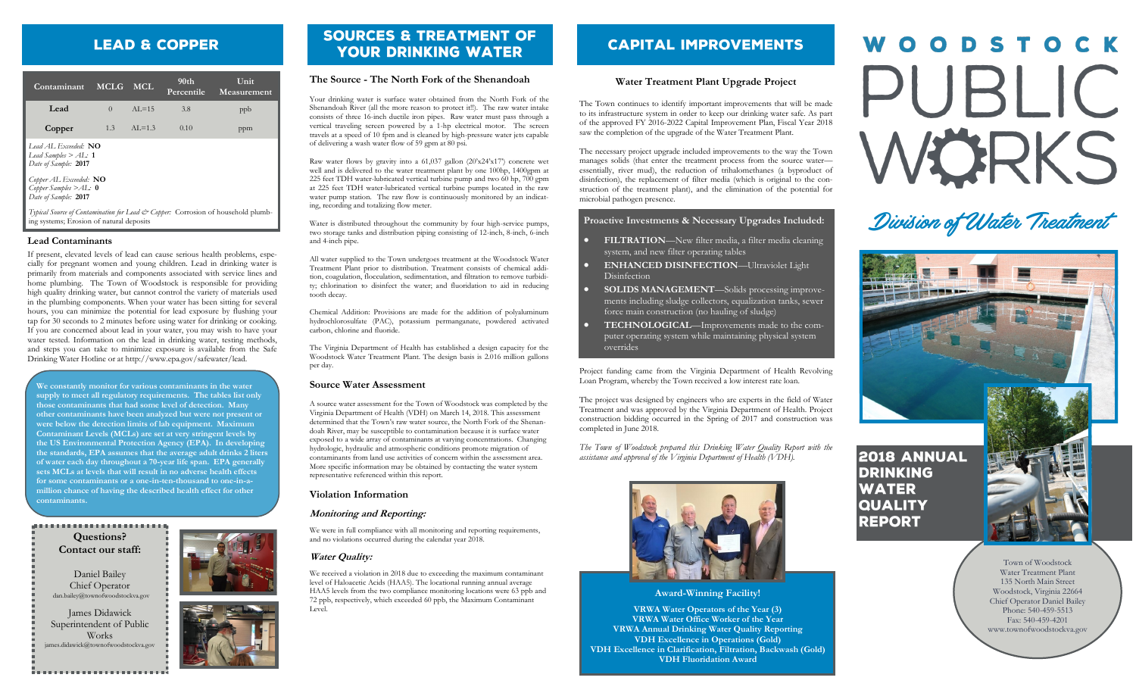# **LEAD & COPPER**

| Contaminant                                                                                                                  | <b>MCLG</b> | MCL.      | 90 <sub>th</sub><br>Percentile | Unit<br>Measurement |
|------------------------------------------------------------------------------------------------------------------------------|-------------|-----------|--------------------------------|---------------------|
| Lead                                                                                                                         | $\Omega$    | $AI = 15$ | 3.8                            | ppb                 |
| Copper                                                                                                                       | 1.3         | $AL=1.3$  | 0.10                           | ppm                 |
| Lead AL Exceeded: NO<br>Lead Samples $>$ AL: 1<br>Date of Sample: 2017                                                       |             |           |                                |                     |
| Copper AL Exceeded: $NO$<br>Copper Samples $>$ AL: 0<br>Date of Sample: 2017                                                 |             |           |                                |                     |
| Typical Source of Contamination for Lead & Copper: Corrosion of household plumb-<br>ing systems; Erosion of natural deposits |             |           |                                |                     |

# **Lead Contaminants**

If present, elevated levels of lead can cause serious health problems, especially for pregnant women and young children. Lead in drinking water is primarily from materials and components associated with service lines and home plumbing. The Town of Woodstock is responsible for providing high quality drinking water, but cannot control the variety of materials used in the plumbing components. When your water has been sitting for several hours, you can minimize the potential for lead exposure by flushing your tap for 30 seconds to 2 minutes before using water for drinking or cooking. If you are concerned about lead in your water, you may wish to have your water tested. Information on the lead in drinking water, testing methods, and steps you can take to minimize exposure is available from the Safe Drinking Water Hotline or at http://www.epa.gov/safewater/lead.

**We constantly monitor for various contaminants in the water supply to meet all regulatory requirements. The tables list only those contaminants that had some level of detection. Many other contaminants have been analyzed but were not present or were below the detection limits of lab equipment. Maximum Contaminant Levels (MCLs) are set at very stringent levels by the US Environmental Protection Agency (EPA). In developing the standards, EPA assumes that the average adult drinks 2 liters of water each day throughout a 70-year life span. EPA generally sets MCLs at levels that will result in no adverse health effects for some contaminants or a one-in-ten-thousand to one-in-amillion chance of having the described health effect for other contaminants.**

### $\label{eq:3.1} \rho_{1}(\mathbf{z},\mathbf{z},\mathbf{z},\mathbf{z},\mathbf{z},\mathbf{z},\mathbf{z},\mathbf{z},\mathbf{z},\mathbf{z},\mathbf{z},\mathbf{z},\mathbf{z},\mathbf{z},\mathbf{z},\mathbf{z},\mathbf{z},\mathbf{z},\mathbf{z})$

**Questions? Contact our staff:**

Daniel Bailey Chief Operator dan.bailey@townofwoodstockva.gov

James Didawick Superintendent of Public Works ames.didawick@townofwoodstockva.gov

# **SOURCES & TREATMENT OF YOUR DRINKING WATER**

# **The Source - The North Fork of the Shenandoah**

Your drinking water is surface water obtained from the North Fork of the Shenandoah River (all the more reason to protect it!!). The raw water intake consists of three 16-inch ductile iron pipes. Raw water must pass through a vertical traveling screen powered by a 1-hp electrical motor. The screen travels at a speed of 10 fpm and is cleaned by high-pressure water jets capable of delivering a wash water flow of 59 gpm at 80 psi.

Raw water flows by gravity into a 61,037 gallon (20'x24'x17') concrete wet well and is delivered to the water treatment plant by one 100hp, 1400gpm at 225 feet TDH water-lubricated vertical turbine pump and two 60 hp, 700 gpm at 225 feet TDH water-lubricated vertical turbine pumps located in the raw water pump station. The raw flow is continuously monitored by an indicating, recording and totalizing flow meter.

Water is distributed throughout the community by four high-service pumps, two storage tanks and distribution piping consisting of 12-inch, 8-inch, 6-inch and 4-inch pipe.

All water supplied to the Town undergoes treatment at the Woodstock Water Treatment Plant prior to distribution. Treatment consists of chemical addition, coagulation, flocculation, sedimentation, and filtration to remove turbidity; chlorination to disinfect the water; and fluoridation to aid in reducing tooth decay.

Chemical Addition: Provisions are made for the addition of polyaluminum hydrochlorosulfate (PAC), potassium permanganate, powdered activated carbon, chlorine and fluoride.

The Virginia Department of Health has established a design capacity for the Woodstock Water Treatment Plant. The design basis is 2.016 million gallons per day.

# **Source Water Assessment**

A source water assessment for the Town of Woodstock was completed by the Virginia Department of Health (VDH) on March 14, 2018. This assessment determined that the Town's raw water source, the North Fork of the Shenandoah River, may be susceptible to contamination because it is surface water exposed to a wide array of contaminants at varying concentrations. Changing hydrologic, hydraulic and atmospheric conditions promote migration of contaminants from land use activities of concern within the assessment area. More specific information may be obtained by contacting the water system representative referenced within this report.

### **Violation Information**

# **Monitoring and Reporting:**

We were in full compliance with all monitoring and reporting requirements, and no violations occurred during the calendar year 2018.

# **Water Quality:**

We received a violation in 2018 due to exceeding the maximum contaminant level of Haloacetic Acids (HAA5). The locational running annual average HAA5 levels from the two compliance monitoring locations were 63 ppb and 72 ppb, respectively, which exceeded 60 ppb, the Maximum Contaminant Level.

# **CAPITAL IMPROVEMENTS**

# **Water Treatment Plant Upgrade Project**

The Town continues to identify important improvements that will be made to its infrastructure system in order to keep our drinking water safe. As part of the approved FY 2016-2022 Capital Improvement Plan, Fiscal Year 2018 saw the completion of the upgrade of the Water Treatment Plant.

The necessary project upgrade included improvements to the way the Town manages solids (that enter the treatment process from the source water essentially, river mud), the reduction of trihalomethanes (a byproduct of disinfection), the replacement of filter media (which is original to the construction of the treatment plant), and the elimination of the potential for microbial pathogen presence.

# **Proactive Investments & Necessary Upgrades Included:**

- **FILTRATION**—New filter media, a filter media cleaning system, and new filter operating tables
- **ENHANCED DISINFECTION**—Ultraviolet Light Disinfection
- **SOLIDS MANAGEMENT**—Solids processing improvements including sludge collectors, equalization tanks, sewer force main construction (no hauling of sludge)
- **TECHNOLOGICAL**—Improvements made to the computer operating system while maintaining physical system overrides

Project funding came from the Virginia Department of Health Revolving Loan Program, whereby the Town received a low interest rate loan.

The project was designed by engineers who are experts in the field of Water Treatment and was approved by the Virginia Department of Health. Project construction bidding occurred in the Spring of 2017 and construction was completed in June 2018.

*The Town of Woodstock prepared this Drinking Water Quality Report with the assistance and approval of the Virginia Department of Health (VDH).*



# **Award-Winning Facility!**

**VRWA Water Operators of the Year (3) VRWA Water Office Worker of the Year VRWA Annual Drinking Water Quality Reporting VDH Excellence in Operations (Gold) VDH Excellence in Clarification, Filtration, Backwash (Gold) VDH Fluoridation Award**

# WOODSTOCK PUBLIC WÖRKS

# Division of Water Treatment



**2018 ANNUAL DRINKING WATER QUALITY REPORT** 

> Town of Woodstock Water Treatment Plant 135 North Main Street Woodstock, Virginia 22664 Chief Operator Daniel Bailey Phone: 540-459-5513 Fax: 540-459-4201 www.townofwoodstockva.gov